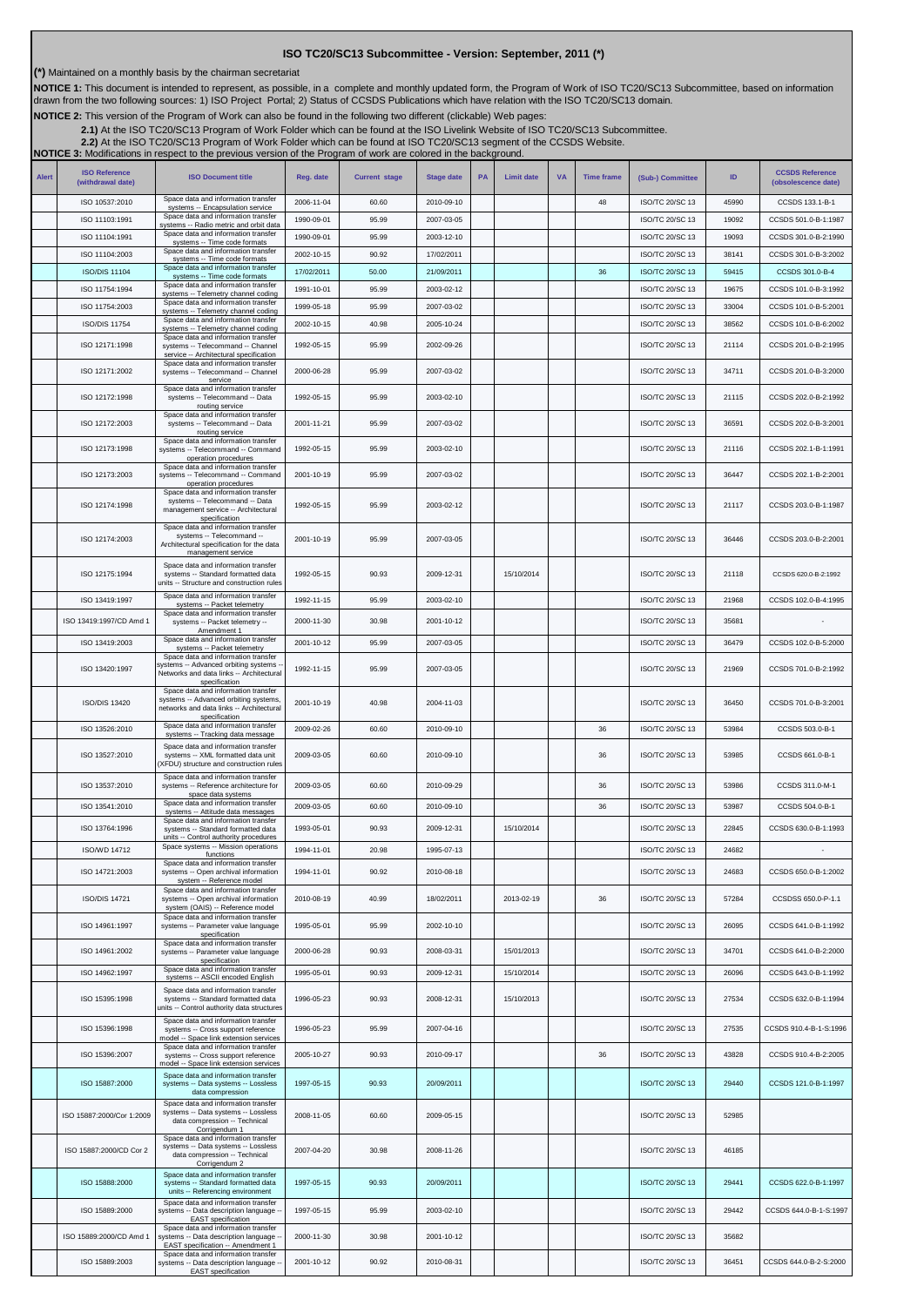## **ISO TC20/SC13 Subcommittee - Version: September, 2011 (\*)**

**(\*)** Maintained on a monthly basis by the chairman secretariat

NOTICE 1: This document is intended to represent, as possible, in a complete and monthly updated form, the Program of Work of ISO TC20/SC13 Subcommittee, based on information<br>drawn from the two following sources: 1) ISO Pr

**NOTICE 2:** This version of the Program of Work can also be found in the following two different (clickable) Web pages:

2.1)At the ISO TC20/SC13 Program of Work Folder which can be found at the ISO Livelink Website of ISO TC20/SC13 Subcommittee.<br>[2.2\)](http://cwe.ccsds.org/cmc/docs/Forms/AllItems.aspx?RootFolder=%2fcmc%2fdocs%2fISO%20TC20%2dSC13%2fISO%20TC20%2dSC13%20Meeting%20Minutes%20and%20Presentations&FolderCTID=&View=%7bD5DD30F7%2d53FC%2d45B9%2d8B93%2d709B280A475B%7d) At the ISO TC20/SC13 Program of Work Folder which can be found at ISO TC20/SC13 segment of

**NOTICE 3:** Modifications in respect to the previous version of the Program of work are colored in the background.

| <b>Alert</b> | <b>ISO Reference</b><br>(withdrawal date) | <b>ISO Document title</b>                                                                                                                 | Reg. date  | <b>Current stage</b> | <b>Stage date</b> | <b>PA</b> | <b>Limit date</b> | <b>VA</b> | <b>Time frame</b> | (Sub-) Committee       | ID    | <b>CCSDS Reference</b><br>(obsolescence date) |
|--------------|-------------------------------------------|-------------------------------------------------------------------------------------------------------------------------------------------|------------|----------------------|-------------------|-----------|-------------------|-----------|-------------------|------------------------|-------|-----------------------------------------------|
|              | ISO 10537:2010                            | Space data and information transfer<br>systems -- Encapsulation service                                                                   | 2006-11-04 | 60.60                | 2010-09-10        |           |                   |           | 48                | ISO/TC 20/SC 13        | 45990 | CCSDS 133.1-B-1                               |
|              | ISO 11103:1991                            | Space data and information transfer<br>systems -- Radio metric and orbit data                                                             | 1990-09-01 | 95.99                | 2007-03-05        |           |                   |           |                   | ISO/TC 20/SC 13        | 19092 | CCSDS 501.0-B-1:1987                          |
|              | ISO 11104:1991                            | Space data and information transfer<br>systems -- Time code formats                                                                       | 1990-09-01 | 95.99                | 2003-12-10        |           |                   |           |                   | ISO/TC 20/SC 13        | 19093 | CCSDS 301.0-B-2:1990                          |
|              | ISO 11104:2003                            | Space data and information transfer<br>systems -- Time code formats                                                                       | 2002-10-15 | 90.92                | 17/02/2011        |           |                   |           |                   | ISO/TC 20/SC 13        | 38141 | CCSDS 301.0-B-3:2002                          |
|              | <b>ISO/DIS 11104</b>                      | Space data and information transfer<br>systems -- Time code formats<br>Space data and information transfer                                | 17/02/2011 | 50.00                | 21/09/2011        |           |                   |           | 36                | ISO/TC 20/SC 13        | 59415 | CCSDS 301.0-B-4                               |
|              | ISO 11754:1994                            | systems -- Telemetry channel coding<br>Space data and information transfer                                                                | 1991-10-01 | 95.99                | 2003-02-12        |           |                   |           |                   | ISO/TC 20/SC 13        | 19675 | CCSDS 101.0-B-3:1992                          |
|              | ISO 11754:2003                            | systems -- Telemetry channel coding<br>Space data and information transfer                                                                | 1999-05-18 | 95.99                | 2007-03-02        |           |                   |           |                   | ISO/TC 20/SC 13        | 33004 | CCSDS 101.0-B-5:2001                          |
|              | <b>ISO/DIS 11754</b>                      | systems -- Telemetry channel coding<br>Space data and information transfer                                                                | 2002-10-15 | 40.98                | 2005-10-24        |           |                   |           |                   | ISO/TC 20/SC 13        | 38562 | CCSDS 101.0-B-6:2002                          |
|              | ISO 12171:1998                            | systems -- Telecommand -- Channel<br>service -- Architectural specification<br>Space data and information transfer                        | 1992-05-15 | 95.99                | 2002-09-26        |           |                   |           |                   | ISO/TC 20/SC 13        | 21114 | CCSDS 201.0-B-2:1995                          |
|              | ISO 12171:2002                            | systems -- Telecommand -- Channel<br>service<br>Space data and information transfer                                                       | 2000-06-28 | 95.99                | 2007-03-02        |           |                   |           |                   | ISO/TC 20/SC 13        | 34711 | CCSDS 201.0-B-3:2000                          |
|              | ISO 12172:1998                            | systems -- Telecommand -- Data<br>routing service<br>Space data and information transfer                                                  | 1992-05-15 | 95.99                | 2003-02-10        |           |                   |           |                   | ISO/TC 20/SC 13        | 21115 | CCSDS 202.0-B-2:1992                          |
|              | ISO 12172:2003                            | systems -- Telecommand -- Data<br>routing service<br>Space data and information transfer                                                  | 2001-11-21 | 95.99                | 2007-03-02        |           |                   |           |                   | ISO/TC 20/SC 13        | 36591 | CCSDS 202.0-B-3:2001                          |
|              | ISO 12173:1998                            | systems -- Telecommand -- Command<br>operation procedures                                                                                 | 1992-05-15 | 95.99                | 2003-02-10        |           |                   |           |                   | ISO/TC 20/SC 13        | 21116 | CCSDS 202.1-B-1:1991                          |
|              | ISO 12173:2003                            | Space data and information transfer<br>systems -- Telecommand -- Command<br>operation procedures<br>Space data and information transfer   | 2001-10-19 | 95.99                | 2007-03-02        |           |                   |           |                   | ISO/TC 20/SC 13        | 36447 | CCSDS 202.1-B-2:2001                          |
|              | ISO 12174:1998                            | systems -- Telecommand -- Data<br>management service -- Architectural<br>specification                                                    | 1992-05-15 | 95.99                | 2003-02-12        |           |                   |           |                   | ISO/TC 20/SC 13        | 21117 | CCSDS 203.0-B-1:1987                          |
|              | ISO 12174:2003                            | Space data and information transfer<br>systems -- Telecommand --<br>Architectural specification for the data<br>management service        | 2001-10-19 | 95.99                | 2007-03-05        |           |                   |           |                   | ISO/TC 20/SC 13        | 36446 | CCSDS 203.0-B-2:2001                          |
|              | ISO 12175:1994                            | Space data and information transfer<br>systems -- Standard formatted data<br>units -- Structure and construction rules                    | 1992-05-15 | 90.93                | 2009-12-31        |           | 15/10/2014        |           |                   | ISO/TC 20/SC 13        | 21118 | CCSDS 620.0-B-2:1992                          |
|              | ISO 13419:1997                            | Space data and information transfer<br>systems -- Packet telemetry                                                                        | 1992-11-15 | 95.99                | 2003-02-10        |           |                   |           |                   | ISO/TC 20/SC 13        | 21968 | CCSDS 102.0-B-4:1995                          |
|              | ISO 13419:1997/CD Amd 1                   | Space data and information transfer<br>systems -- Packet telemetry --                                                                     | 2000-11-30 | 30.98                | 2001-10-12        |           |                   |           |                   | ISO/TC 20/SC 13        | 35681 |                                               |
|              | ISO 13419:2003                            | Amendment 1<br>Space data and information transfer<br>systems -- Packet telemetry                                                         | 2001-10-12 | 95.99                | 2007-03-05        |           |                   |           |                   | ISO/TC 20/SC 13        | 36479 | CCSDS 102.0-B-5:2000                          |
|              | ISO 13420:1997                            | Space data and information transfer<br>systems -- Advanced orbiting systems<br>Networks and data links -- Architectural<br>specification  | 1992-11-15 | 95.99                | 2007-03-05        |           |                   |           |                   | ISO/TC 20/SC 13        | 21969 | CCSDS 701.0-B-2:1992                          |
|              | ISO/DIS 13420                             | Space data and information transfer<br>systems -- Advanced orbiting systems,<br>networks and data links -- Architectural<br>specification | 2001-10-19 | 40.98                | 2004-11-03        |           |                   |           |                   | ISO/TC 20/SC 13        | 36450 | CCSDS 701.0-B-3:2001                          |
|              | ISO 13526:2010                            | Space data and information transfer<br>systems -- Tracking data message                                                                   | 2009-02-26 | 60.60                | 2010-09-10        |           |                   |           | 36                | ISO/TC 20/SC 13        | 53984 | CCSDS 503.0-B-1                               |
|              | ISO 13527:2010                            | Space data and information transfer<br>systems -- XML formatted data unit<br>XFDU) structure and construction rules                       | 2009-03-05 | 60.60                | 2010-09-10        |           |                   |           | 36                | ISO/TC 20/SC 13        | 53985 | CCSDS 661.0-B-1                               |
|              | ISO 13537:2010                            | Space data and information transfer<br>systems -- Reference architecture for<br>space data systems                                        | 2009-03-05 | 60.60                | 2010-09-29        |           |                   |           | 36                | ISO/TC 20/SC 13        | 53986 | CCSDS 311.0-M-1                               |
|              | ISO 13541:2010                            | Space data and information transfer<br>systems -- Attitude data messages                                                                  | 2009-03-05 | 60.60                | 2010-09-10        |           |                   |           | 36                | ISO/TC 20/SC 13        | 53987 | CCSDS 504.0-B-1                               |
|              | ISO 13764:1996                            | Space data and information transfer<br>systems -- Standard formatted data                                                                 | 1993-05-01 | 90.93                | 2009-12-31        |           | 15/10/2014        |           |                   | ISO/TC 20/SC 13        | 22845 | CCSDS 630.0-B-1:1993                          |
|              | ISO/WD 14712                              | units -- Control authority procedures<br>Space systems -- Mission operations<br>functions                                                 | 1994-11-01 | 20.98                | 1995-07-13        |           |                   |           |                   | ISO/TC 20/SC 13        | 24682 |                                               |
|              | ISO 14721:2003                            | Space data and information transfer<br>systems -- Open archival information                                                               | 1994-11-01 | 90.92                | 2010-08-18        |           |                   |           |                   | ISO/TC 20/SC 13        | 24683 | CCSDS 650.0-B-1:2002                          |
|              | <b>ISO/DIS 14721</b>                      | system -- Reference model<br>Space data and information transfer<br>systems -- Open archival information                                  | 2010-08-19 | 40.99                | 18/02/2011        |           | 2013-02-19        |           | 36                | ISO/TC 20/SC 13        | 57284 | CCSDSS 650.0-P-1.1                            |
|              |                                           | system (OAIS) -- Reference model<br>Space data and information transfer                                                                   |            |                      |                   |           |                   |           |                   |                        |       |                                               |
|              | ISO 14961:1997                            | systems -- Parameter value language<br>specification<br>Space data and information transfer                                               | 1995-05-01 | 95.99                | 2002-10-10        |           |                   |           |                   | ISO/TC 20/SC 13        | 26095 | CCSDS 641.0-B-1:1992                          |
|              | ISO 14961:2002                            | systems -- Parameter value language<br>specification                                                                                      | 2000-06-28 | 90.93                | 2008-03-31        |           | 15/01/2013        |           |                   | ISO/TC 20/SC 13        | 34701 | CCSDS 641.0-B-2:2000                          |
|              | ISO 14962:1997                            | Space data and information transfer<br>systems -- ASCII encoded English                                                                   | 1995-05-01 | 90.93                | 2009-12-31        |           | 15/10/2014        |           |                   | ISO/TC 20/SC 13        | 26096 | CCSDS 643.0-B-1:1992                          |
|              | ISO 15395:1998                            | Space data and information transfer<br>systems -- Standard formatted data<br>units -- Control authority data structures                   | 1996-05-23 | 90.93                | 2008-12-31        |           | 15/10/2013        |           |                   | ISO/TC 20/SC 13        | 27534 | CCSDS 632.0-B-1:1994                          |
|              | ISO 15396:1998                            | Space data and information transfer<br>systems -- Cross support reference<br>model -- Space link extension services                       | 1996-05-23 | 95.99                | 2007-04-16        |           |                   |           |                   | ISO/TC 20/SC 13        | 27535 | CCSDS 910.4-B-1-S:1996                        |
|              | ISO 15396:2007                            | Space data and information transfer<br>systems -- Cross support reference<br>model -- Space link extension services                       | 2005-10-27 | 90.93                | 2010-09-17        |           |                   |           | 36                | ISO/TC 20/SC 13        | 43828 | CCSDS 910.4-B-2:2005                          |
|              | ISO 15887:2000                            | Space data and information transfer<br>systems -- Data systems -- Lossless<br>data compression                                            | 1997-05-15 | 90.93                | 20/09/2011        |           |                   |           |                   | <b>ISO/TC 20/SC 13</b> | 29440 | CCSDS 121.0-B-1:1997                          |
|              | ISO 15887:2000/Cor 1:2009                 | Space data and information transfer<br>systems -- Data systems -- Lossless<br>data compression -- Technical<br>Corrigendum 1              | 2008-11-05 | 60.60                | 2009-05-15        |           |                   |           |                   | ISO/TC 20/SC 13        | 52985 |                                               |
|              | ISO 15887:2000/CD Cor 2                   | Space data and information transfer<br>systems -- Data systems -- Lossless<br>data compression -- Technical<br>Corrigendum 2              | 2007-04-20 | 30.98                | 2008-11-26        |           |                   |           |                   | ISO/TC 20/SC 13        | 46185 |                                               |
|              | ISO 15888:2000                            | Space data and information transfer<br>systems -- Standard formatted data<br>units -- Referencing environment                             | 1997-05-15 | 90.93                | 20/09/2011        |           |                   |           |                   | <b>ISO/TC 20/SC 13</b> | 29441 | CCSDS 622.0-B-1:1997                          |
|              | ISO 15889:2000                            | Space data and information transfer<br>systems -- Data description language -<br><b>EAST</b> specification                                | 1997-05-15 | 95.99                | 2003-02-10        |           |                   |           |                   | ISO/TC 20/SC 13        | 29442 | CCSDS 644.0-B-1-S:1997                        |
|              | ISO 15889:2000/CD Amd 1                   | Space data and information transfer<br>systems -- Data description language -<br>EAST specification -- Amendment 1                        | 2000-11-30 | 30.98                | 2001-10-12        |           |                   |           |                   | ISO/TC 20/SC 13        | 35682 |                                               |
|              | ISO 15889:2003                            | Space data and information transfer<br>systems -- Data description language -<br><b>EAST</b> specification                                | 2001-10-12 | 90.92                | 2010-08-31        |           |                   |           |                   | ISO/TC 20/SC 13        | 36451 | CCSDS 644.0-B-2-S:2000                        |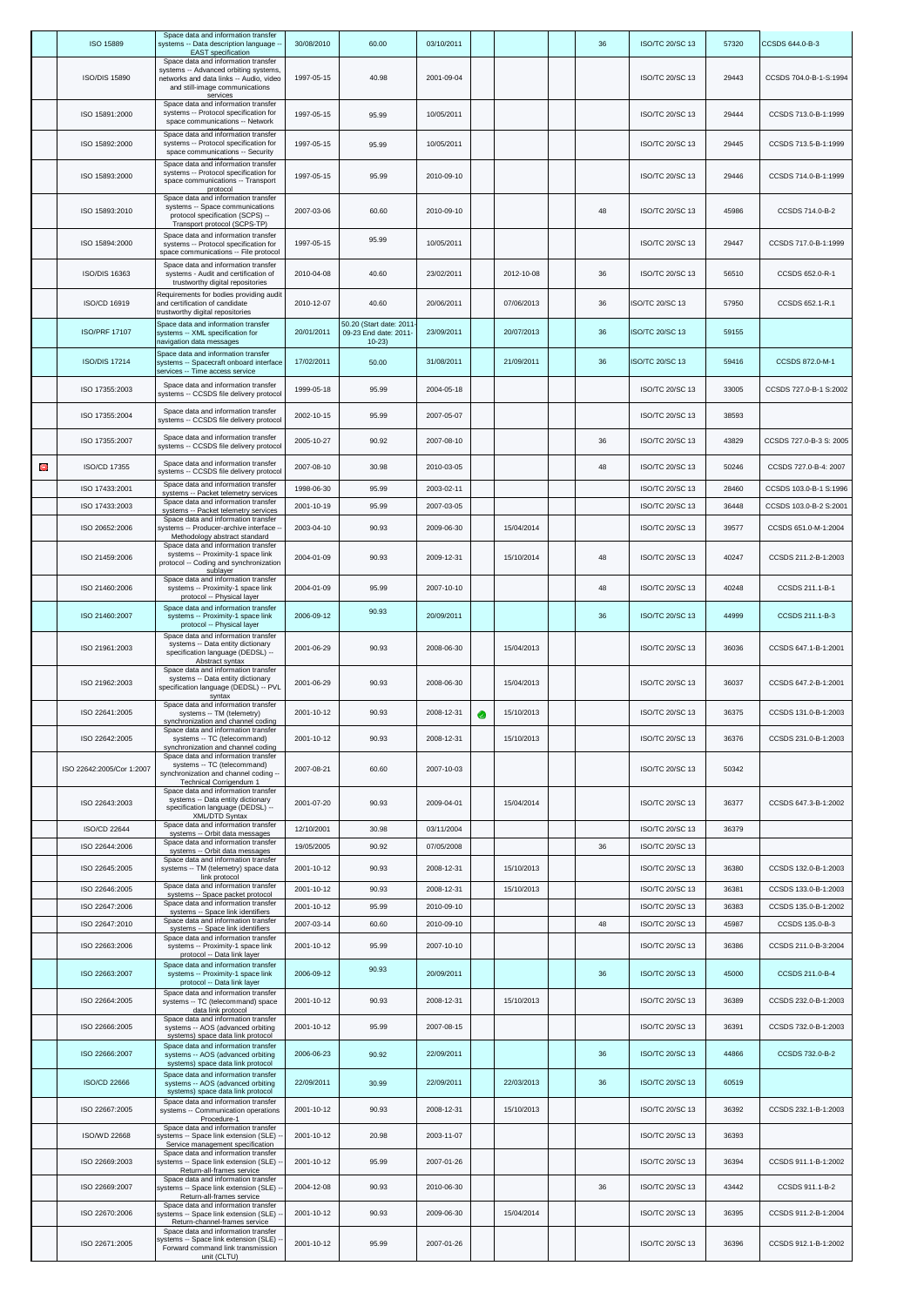|   | ISO 15889                 | Space data and information transfer<br>systems -- Data description language -<br><b>EAST</b> specification                                                            | 30/08/2010 | 60.00                                                      | 03/10/2011 |            | 36 | ISO/TC 20/SC 13        | 57320 | CCSDS 644.0-B-3         |
|---|---------------------------|-----------------------------------------------------------------------------------------------------------------------------------------------------------------------|------------|------------------------------------------------------------|------------|------------|----|------------------------|-------|-------------------------|
|   | <b>ISO/DIS 15890</b>      | Space data and information transfer<br>systems -- Advanced orbiting systems,<br>networks and data links -- Audio, video<br>and still-image communications<br>services | 1997-05-15 | 40.98                                                      | 2001-09-04 |            |    | ISO/TC 20/SC 13        | 29443 | CCSDS 704.0-B-1-S:1994  |
|   | ISO 15891:2000            | Space data and information transfer<br>systems -- Protocol specification for<br>space communications -- Network                                                       | 1997-05-15 | 95.99                                                      | 10/05/2011 |            |    | ISO/TC 20/SC 13        | 29444 | CCSDS 713.0-B-1:1999    |
|   | ISO 15892:2000            | Space data and information transfer<br>systems -- Protocol specification for                                                                                          | 1997-05-15 | 95.99                                                      | 10/05/2011 |            |    | ISO/TC 20/SC 13        | 29445 | CCSDS 713.5-B-1:1999    |
|   | ISO 15893:2000            | space communications -- Security<br>Space data and information transfer<br>systems -- Protocol specification for<br>space communications -- Transport<br>protocol     | 1997-05-15 | 95.99                                                      | 2010-09-10 |            |    | ISO/TC 20/SC 13        | 29446 | CCSDS 714.0-B-1:1999    |
|   | ISO 15893:2010            | Space data and information transfer<br>systems -- Space communications<br>protocol specification (SCPS) --                                                            | 2007-03-06 | 60.60                                                      | 2010-09-10 |            | 48 | ISO/TC 20/SC 13        | 45986 | CCSDS 714.0-B-2         |
|   | ISO 15894:2000            | Transport protocol (SCPS-TP)<br>Space data and information transfer<br>systems -- Protocol specification for<br>space communications -- File protocol                 | 1997-05-15 | 95.99                                                      | 10/05/2011 |            |    | ISO/TC 20/SC 13        | 29447 | CCSDS 717.0-B-1:1999    |
|   | ISO/DIS 16363             | Space data and information transfer<br>systems - Audit and certification of<br>trustworthy digital repositories                                                       | 2010-04-08 | 40.60                                                      | 23/02/2011 | 2012-10-08 | 36 | ISO/TC 20/SC 13        | 56510 | CCSDS 652.0-R-1         |
|   | ISO/CD 16919              | Requirements for bodies providing audit<br>and certification of candidate<br>trustworthy digital repositories                                                         | 2010-12-07 | 40.60                                                      | 20/06/2011 | 07/06/2013 | 36 | ISO/TC 20/SC 13        | 57950 | CCSDS 652.1-R.1         |
|   | <b>ISO/PRF 17107</b>      | Space data and information transfer<br>systems -- XML specification for<br>navigation data messages                                                                   | 20/01/2011 | 50.20 (Start date: 2011<br>09-23 End date: 2011<br>$10-23$ | 23/09/2011 | 20/07/2013 | 36 | ISO/TC 20/SC 13        | 59155 |                         |
|   | <b>ISO/DIS 17214</b>      | Space data and information transfer<br>systems -- Spacecraft onboard interface<br>services -- Time access service                                                     | 17/02/2011 | 50.00                                                      | 31/08/2011 | 21/09/2011 | 36 | ISO/TC 20/SC 13        | 59416 | CCSDS 872.0-M-1         |
|   | ISO 17355:2003            | Space data and information transfer<br>systems -- CCSDS file delivery protocol                                                                                        | 1999-05-18 | 95.99                                                      | 2004-05-18 |            |    | ISO/TC 20/SC 13        | 33005 | CCSDS 727.0-B-1 S:2002  |
|   | ISO 17355:2004            | Space data and information transfer<br>systems -- CCSDS file delivery protocol                                                                                        | 2002-10-15 | 95.99                                                      | 2007-05-07 |            |    | ISO/TC 20/SC 13        | 38593 |                         |
|   | ISO 17355:2007            | Space data and information transfer<br>systems -- CCSDS file delivery protocol                                                                                        | 2005-10-27 | 90.92                                                      | 2007-08-10 |            | 36 | ISO/TC 20/SC 13        | 43829 | CCSDS 727.0-B-3 S: 2005 |
| O | ISO/CD 17355              | Space data and information transfer<br>systems -- CCSDS file delivery protocol                                                                                        | 2007-08-10 | 30.98                                                      | 2010-03-05 |            | 48 | ISO/TC 20/SC 13        | 50246 | CCSDS 727.0-B-4: 2007   |
|   | ISO 17433:2001            | Space data and information transfer<br>systems -- Packet telemetry services                                                                                           | 1998-06-30 | 95.99                                                      | 2003-02-11 |            |    | ISO/TC 20/SC 13        | 28460 | CCSDS 103.0-B-1 S:1996  |
|   | ISO 17433:2003            | Space data and information transfer<br>systems -- Packet telemetry services                                                                                           | 2001-10-19 | 95.99                                                      | 2007-03-05 |            |    | ISO/TC 20/SC 13        | 36448 | CCSDS 103.0-B-2 S:2001  |
|   | ISO 20652:2006            | Space data and information transfer<br>systems -- Producer-archive interface -<br>Methodology abstract standard                                                       | 2003-04-10 | 90.93                                                      | 2009-06-30 | 15/04/2014 |    | ISO/TC 20/SC 13        | 39577 | CCSDS 651.0-M-1:2004    |
|   | ISO 21459:2006            | Space data and information transfer<br>systems -- Proximity-1 space link<br>protocol -- Coding and synchronization<br>sublayer                                        | 2004-01-09 | 90.93                                                      | 2009-12-31 | 15/10/2014 | 48 | ISO/TC 20/SC 13        | 40247 | CCSDS 211.2-B-1:2003    |
|   | ISO 21460:2006            | Space data and information transfer<br>systems -- Proximity-1 space link<br>protocol -- Physical layer                                                                | 2004-01-09 | 95.99                                                      | 2007-10-10 |            | 48 | ISO/TC 20/SC 13        | 40248 | CCSDS 211.1-B-1         |
|   | ISO 21460:2007            | Space data and information transfer<br>systems -- Proximity-1 space link<br>protocol -- Physical layer                                                                | 2006-09-12 | 90.93                                                      | 20/09/2011 |            | 36 | ISO/TC 20/SC 13        | 44999 | CCSDS 211.1-B-3         |
|   | ISO 21961:2003            | Space data and information transfer<br>systems -- Data entity dictionary<br>specification language (DEDSL) --<br>Abstract syntax                                      | 2001-06-29 | 90.93                                                      | 2008-06-30 | 15/04/2013 |    | ISO/TC 20/SC 13        | 36036 | CCSDS 647.1-B-1:2001    |
|   | ISO 21962:2003            | Space data and information transfer<br>systems -- Data entity dictionary<br>specification language (DEDSL) -- PVL<br>syntax                                           | 2001-06-29 | 90.93                                                      | 2008-06-30 | 15/04/2013 |    | ISO/TC 20/SC 13        | 36037 | CCSDS 647.2-B-1:2001    |
|   | ISO 22641:2005            | Space data and information transfer<br>systems -- TM (telemetry)<br>synchronization and channel coding                                                                | 2001-10-12 | 90.93                                                      | 2008-12-31 | 15/10/2013 |    | ISO/TC 20/SC 13        | 36375 | CCSDS 131.0-B-1:2003    |
|   | ISO 22642:2005            | Space data and information transfer<br>systems -- TC (telecommand)<br>synchronization and channel coding<br>Space data and information transfer                       | 2001-10-12 | 90.93                                                      | 2008-12-31 | 15/10/2013 |    | ISO/TC 20/SC 13        | 36376 | CCSDS 231.0-B-1:2003    |
|   | ISO 22642:2005/Cor 1:2007 | systems -- TC (telecommand)<br>synchronization and channel coding --<br>Technical Corrigendum 1                                                                       | 2007-08-21 | 60.60                                                      | 2007-10-03 |            |    | <b>ISO/TC 20/SC 13</b> | 50342 |                         |
|   | ISO 22643:2003            | Space data and information transfer<br>systems -- Data entity dictionary<br>specification language (DEDSL) --<br>XML/DTD Syntax                                       | 2001-07-20 | 90.93                                                      | 2009-04-01 | 15/04/2014 |    | ISO/TC 20/SC 13        | 36377 | CCSDS 647.3-B-1:2002    |
|   | <b>ISO/CD 22644</b>       | Space data and information transfer<br>systems -- Orbit data messages                                                                                                 | 12/10/2001 | 30.98                                                      | 03/11/2004 |            |    | ISO/TC 20/SC 13        | 36379 |                         |
|   | ISO 22644:2006            | Space data and information transfer<br>systems -- Orbit data messages                                                                                                 | 19/05/2005 | 90.92                                                      | 07/05/2008 |            | 36 | ISO/TC 20/SC 13        |       |                         |
|   | ISO 22645:2005            | Space data and information transfer<br>systems -- TM (telemetry) space data<br>link protocol                                                                          | 2001-10-12 | 90.93                                                      | 2008-12-31 | 15/10/2013 |    | ISO/TC 20/SC 13        | 36380 | CCSDS 132.0-B-1:2003    |
|   | ISO 22646:2005            | Space data and information transfer<br>systems -- Space packet protocol                                                                                               | 2001-10-12 | 90.93                                                      | 2008-12-31 | 15/10/2013 |    | ISO/TC 20/SC 13        | 36381 | CCSDS 133.0-B-1:2003    |
|   | ISO 22647:2006            | Space data and information transfer<br>systems -- Space link identifiers                                                                                              | 2001-10-12 | 95.99                                                      | 2010-09-10 |            |    | ISO/TC 20/SC 13        | 36383 | CCSDS 135.0-B-1:2002    |
|   | ISO 22647:2010            | Space data and information transfer<br>systems -- Space link identifiers<br>Space data and information transfer                                                       | 2007-03-14 | 60.60                                                      | 2010-09-10 |            | 48 | ISO/TC 20/SC 13        | 45987 | CCSDS 135.0-B-3         |
|   | ISO 22663:2006            | systems -- Proximity-1 space link<br>protocol -- Data link layer<br>Space data and information transfer                                                               | 2001-10-12 | 95.99                                                      | 2007-10-10 |            |    | ISO/TC 20/SC 13        | 36386 | CCSDS 211.0-B-3:2004    |
|   | ISO 22663:2007            | systems -- Proximity-1 space link<br>protocol -- Data link layer<br>Space data and information transfer                                                               | 2006-09-12 | 90.93                                                      | 20/09/2011 |            | 36 | <b>ISO/TC 20/SC 13</b> | 45000 | CCSDS 211.0-B-4         |
|   | ISO 22664:2005            | systems -- TC (telecommand) space<br>data link protocol<br>Space data and information transfer                                                                        | 2001-10-12 | 90.93                                                      | 2008-12-31 | 15/10/2013 |    | ISO/TC 20/SC 13        | 36389 | CCSDS 232.0-B-1:2003    |
|   | ISO 22666:2005            | systems -- AOS (advanced orbiting<br>systems) space data link protocol<br>Space data and information transfer                                                         | 2001-10-12 | 95.99                                                      | 2007-08-15 |            |    | ISO/TC 20/SC 13        | 36391 | CCSDS 732.0-B-1:2003    |
|   | ISO 22666:2007            | systems -- AOS (advanced orbiting<br>systems) space data link protocol                                                                                                | 2006-06-23 | 90.92                                                      | 22/09/2011 |            | 36 | <b>ISO/TC 20/SC 13</b> | 44866 | CCSDS 732.0-B-2         |
|   | <b>ISO/CD 22666</b>       | Space data and information transfer<br>systems -- AOS (advanced orbiting<br>systems) space data link protocol                                                         | 22/09/2011 | 30.99                                                      | 22/09/2011 | 22/03/2013 | 36 | <b>ISO/TC 20/SC 13</b> | 60519 |                         |
|   | ISO 22667:2005            | Space data and information transfer<br>systems -- Communication operations<br>Procedure-1                                                                             | 2001-10-12 | 90.93                                                      | 2008-12-31 | 15/10/2013 |    | ISO/TC 20/SC 13        | 36392 | CCSDS 232.1-B-1:2003    |
|   | ISO/WD 22668              | Space data and information transfer<br>systems -- Space link extension (SLE)<br>Service management specification                                                      | 2001-10-12 | 20.98                                                      | 2003-11-07 |            |    | <b>ISO/TC 20/SC 13</b> | 36393 |                         |
|   | ISO 22669:2003            | Space data and information transfer<br>systems -- Space link extension (SLE)<br>Return-all-frames service                                                             | 2001-10-12 | 95.99                                                      | 2007-01-26 |            |    | <b>ISO/TC 20/SC 13</b> | 36394 | CCSDS 911.1-B-1:2002    |
|   | ISO 22669:2007            | Space data and information transfer<br>systems -- Space link extension (SLE)<br>Return-all-frames service<br>Space data and information transfer                      | 2004-12-08 | 90.93                                                      | 2010-06-30 |            | 36 | ISO/TC 20/SC 13        | 43442 | CCSDS 911.1-B-2         |
|   | ISO 22670:2006            | systems -- Space link extension (SLE)<br>Return-channel-frames service                                                                                                | 2001-10-12 | 90.93                                                      | 2009-06-30 | 15/04/2014 |    | ISO/TC 20/SC 13        | 36395 | CCSDS 911.2-B-1:2004    |
|   | ISO 22671:2005            | Space data and information transfer<br>systems -- Space link extension (SLE)<br>Forward command link transmission<br>unit (CLTU)                                      | 2001-10-12 | 95.99                                                      | 2007-01-26 |            |    | <b>ISO/TC 20/SC 13</b> | 36396 | CCSDS 912.1-B-1:2002    |